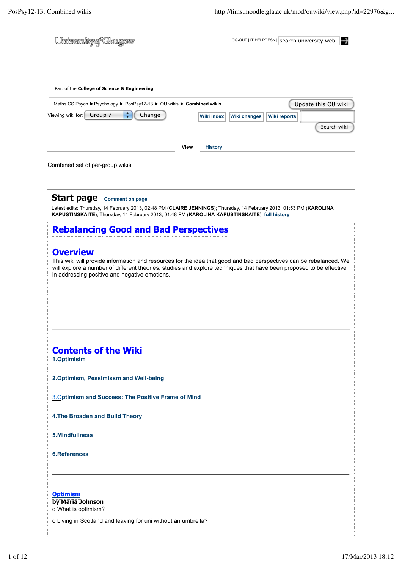| PosPsy12-13: Combined wikis                                                                                           | http://fims.moodle.gla.ac.uk/mod/ouwiki/view.php?id=22976&g                                                                                                                                                                               |
|-----------------------------------------------------------------------------------------------------------------------|-------------------------------------------------------------------------------------------------------------------------------------------------------------------------------------------------------------------------------------------|
| University of Glasgow                                                                                                 | →<br>LOG-OUT   IT HELPDESK   search university web                                                                                                                                                                                        |
| Part of the College of Science & Engineering<br>Maths CS Psych ▶ Psychology ▶ PosPsy12-13 ▶ OU wikis ▶ Combined wikis | Update this OU wiki                                                                                                                                                                                                                       |
| ÷<br>Viewing wiki for: Group 7<br>Change                                                                              | <b>Wiki index</b><br><b>Wiki changes</b><br><b>Wiki reports</b><br>Search wiki                                                                                                                                                            |
| Combined set of per-group wikis                                                                                       | <b>View</b><br><b>History</b>                                                                                                                                                                                                             |
| <b>Start page</b><br><b>Comment on page</b>                                                                           |                                                                                                                                                                                                                                           |
| KAPUSTINSKAITE); Thursday, 14 February 2013, 01:48 PM (KAROLINA KAPUSTINSKAITE); full history                         | Latest edits: Thursday, 14 February 2013, 02:48 PM (CLAIRE JENNINGS); Thursday, 14 February 2013, 01:53 PM (KAROLINA                                                                                                                      |
| <b>Rebalancing Good and Bad Perspectives</b>                                                                          |                                                                                                                                                                                                                                           |
| in addressing positive and negative emotions.                                                                         | This wiki will provide information and resources for the idea that good and bad perspectives can be rebalanced. We<br>will explore a number of different theories, studies and explore techniques that have been proposed to be effective |
| <b>Contents of the Wiki</b><br>1.Optimisim                                                                            |                                                                                                                                                                                                                                           |
| 2.Optimism, Pessimissm and Well-being                                                                                 |                                                                                                                                                                                                                                           |
| 3. Optimism and Success: The Positive Frame of Mind                                                                   |                                                                                                                                                                                                                                           |
| 4. The Broaden and Build Theory                                                                                       |                                                                                                                                                                                                                                           |
| 5.Mindfullness                                                                                                        |                                                                                                                                                                                                                                           |
| <b>6.References</b>                                                                                                   |                                                                                                                                                                                                                                           |
| <b>Optimism</b>                                                                                                       |                                                                                                                                                                                                                                           |
| by Maria Johnson<br>o What is optimism?                                                                               |                                                                                                                                                                                                                                           |
| o Living in Scotland and leaving for uni without an umbrella?                                                         |                                                                                                                                                                                                                                           |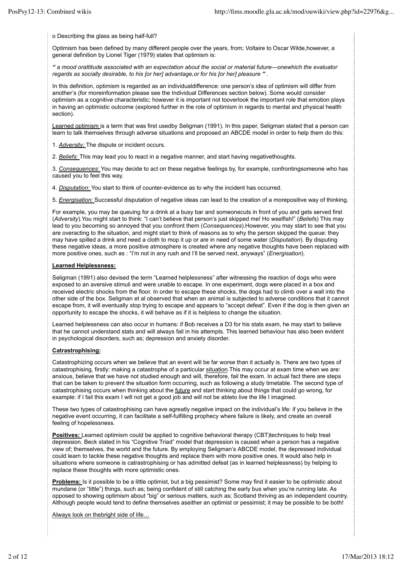o Describing the glass as being half-full?

Optimism has been defined by many different people over the years, from; Voltaire to Oscar Wilde,however, a general definition by Lionel Tiger (1979) states that optimism is:

*" a mood orattitude associated with an expectation about the social or material future—onewhich the evaluator regards as socially desirable, to his [or her] advantage,or for his [or her] pleasure " .*

In this definition, optimism is regarded as an individualdifference: one person's idea of optimism will differ from another's (for moreinformation please see the Individual Differences section below). Some would consider optimism as a cognitive characteristic; however it is important not tooverlook the important role that emotion plays in having an optimistic outcome (explored further in the role of optimism in regards to mental and physical health section).

Learned optimism is a term that was first usedby Seligman (1991). In this paper, Seligman stated that a person can learn to talk themselves through adverse situations and proposed an ABCDE model in order to help them do this:

1. *Adversity:* The dispute or incident occurs.

2. *Beliefs:* This may lead you to react in a negative manner, and start having negativethoughts.

3. *Consequences:* You may decide to act on these negative feelings by, for example, confrontingsomeone who has caused you to feel this way.

4. *Disputation:* You start to think of counter-evidence as to why the incident has occurred.

5. *Energisation:* Successful disputation of negative ideas can lead to the creation of a morepositive way of thinking.

For example, you may be queuing for a drink at a busy bar and someonecuts in front of you and gets served first (*Adversity*).You might start to think: "I can't believe that person's just skipped me! Ho wselfish!" (*Beliefs*) This may lead to you becoming so annoyed that you confront them (*Consequences*).However, you may start to see that you are overacting to the situation, and might start to think of reasons as to why the person skipped the queue: they may have spilled a drink and need a cloth to mop it up or are in need of some water (*Disputation*). By disputing these negative ideas, a more positive atmosphere is created where any negative thoughts have been replaced with more positive ones, such as : "I'm not in any rush and I'll be served next, anyways" (*Energisation*).

#### **Learned Helplessness:**

Seligman (1991) also devised the term "Learned helplessness" after witnessing the reaction of dogs who were exposed to an aversive stimuli and were unable to escape. In one experiment, dogs were placed in a box and received electric shocks from the floor. In order to escape these shocks, the dogs had to climb over a wall into the other side of the box. Seligman et al observed that when an animal is subjected to adverse conditions that it cannot escape from, it will eventually stop trying to escape and appears to "accept defeat". Even if the dog is then given an opportunity to escape the shocks, it will behave as if it is helpless to change the situation.

Learned helplessness can also occur in humans: if Bob receives a D3 for his stats exam, he may start to believe that he cannot understand stats and will always fail in his attempts. This learned behaviour has also been evident in psychological disorders, such as; depression and anxiety disorder.

### **Catrastrophising:**

Catastrophizing occurs when we believe that an event will be far worse than it actually is. There are two types of catastrophising, firstly: making a catastrophe of a particular situation.This may occur at exam time when we are: anxious, believe that we have not studied enough and will, therefore, fail the exam. In actual fact there are steps that can be taken to prevent the situation form occurring, such as following a study timetable. The second type of catastrophising occurs when thinking about the future and start thinking about things that could go wrong, for example: if I fail this exam I will not get a good job and will not be ableto live the life I imagined.

These two types of catastrophising can have agreatly negative impact on the individual's life: if you believe in the negative event occurring, it can facilitate a self-fulfilling prophecy where failure is likely, and create an overall feeling of hopelessness.

**Positives:** Learned optimism could be applied to cognitive behavioral therapy (CBT)techniques to help treat depression. Beck stated in his "Cognitive Triad" model that depression is caused when a person has a negative view of; themselves, the world and the future. By employing Seligman's ABCDE model, the depressed individual could learn to tackle these negative thoughts and replace them with more positive ones. It would also help in situations where someone is catrastrophising or has admitted defeat (as in learned helplessness) by helping to replace these thoughts with more optimistic ones.

**Problems:** Is it possible to be a little optimist, but a big pessimist? Some may find it easier to be optimistic about mundane (or "little") things, such as; being confident of still catching the early bus when you're running late. As opposed to showing optimism about "big" or serious matters, such as; Scotland thriving as an independent country. Although people would tend to define themselves aseither an optimist or pessimist; it may be possible to be both!

Always look on thebright side of life…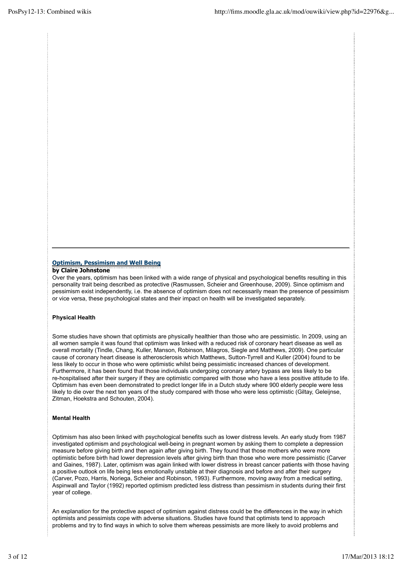### **Optimism, Pessimism and Well Being by Claire Johnstone**

Over the years, optimism has been linked with a wide range of physical and psychological benefits resulting in this personality trait being described as protective (Rasmussen, Scheier and Greenhouse, 2009). Since optimism and pessimism exist independently, i.e. the absence of optimism does not necessarily mean the presence of pessimism or vice versa, these psychological states and their impact on health will be investigated separately.

# **Physical Health**

Some studies have shown that optimists are physically healthier than those who are pessimistic. In 2009, using an all women sample it was found that optimism was linked with a reduced risk of coronary heart disease as well as overall mortality (Tindle, Chang, Kuller, Manson, Robinson, Milagros, Siegle and Matthews, 2009). One particular cause of coronary heart disease is atherosclerosis which Matthews, Sutton-Tyrrell and Kuller (2004) found to be less likely to occur in those who were optimistic whilst being pessimistic increased chances of development. Furthermore, it has been found that those individuals undergoing coronary artery bypass are less likely to be re-hospitalised after their surgery if they are optimistic compared with those who have a less positive attitude to life. Optimism has even been demonstrated to predict longer life in a Dutch study where 900 elderly people were less likely to die over the next ten years of the study compared with those who were less optimistic (Giltay, Geleijnse, Zitman, Hoekstra and Schouten, 2004).

# **Mental Health**

Optimism has also been linked with psychological benefits such as lower distress levels. An early study from 1987 investigated optimism and psychological well-being in pregnant women by asking them to complete a depression measure before giving birth and then again after giving birth. They found that those mothers who were more optimistic before birth had lower depression levels after giving birth than those who were more pessimistic (Carver and Gaines, 1987). Later, optimism was again linked with lower distress in breast cancer patients with those having a positive outlook on life being less emotionally unstable at their diagnosis and before and after their surgery (Carver, Pozo, Harris, Noriega, Scheier and Robinson, 1993). Furthermore, moving away from a medical setting, Aspinwall and Taylor (1992) reported optimism predicted less distress than pessimism in students during their first year of college.

An explanation for the protective aspect of optimism against distress could be the differences in the way in which optimists and pessimists cope with adverse situations. Studies have found that optimists tend to approach problems and try to find ways in which to solve them whereas pessimists are more likely to avoid problems and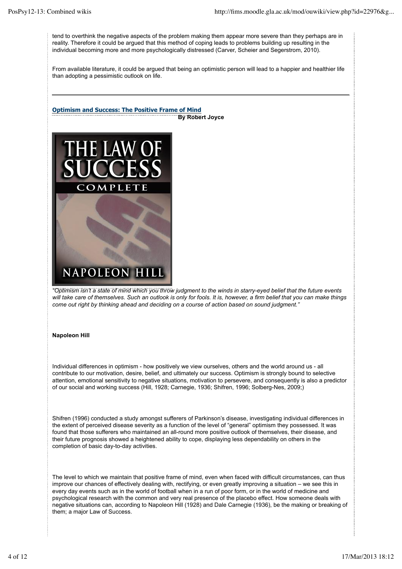tend to overthink the negative aspects of the problem making them appear more severe than they perhaps are in reality. Therefore it could be argued that this method of coping leads to problems building up resulting in the individual becoming more and more psychologically distressed (Carver, Scheier and Segerstrom, 2010).

From available literature, it could be argued that being an optimistic person will lead to a happier and healthier life than adopting a pessimistic outlook on life.



*"Optimism isn't a state of mind which you throw judgment to the winds in starry-eyed belief that the future events will take care of themselves. Such an outlook is only for fools. It is, however, a firm belief that you can make things come out right by thinking ahead and deciding on a course of action based on sound judgment."*

#### **Napoleon Hill**

Individual differences in optimism - how positively we view ourselves, others and the world around us - all contribute to our motivation, desire, belief, and ultimately our success. Optimism is strongly bound to selective attention, emotional sensitivity to negative situations, motivation to persevere, and consequently is also a predictor of our social and working success (Hill, 1928; Carnegie, 1936; Shifren, 1996; Solberg-Nes, 2009;)

Shifren (1996) conducted a study amongst sufferers of Parkinson's disease, investigating individual differences in the extent of perceived disease severity as a function of the level of "general" optimism they possessed. It was found that those sufferers who maintained an all-round more positive outlook of themselves, their disease, and their future prognosis showed a heightened ability to cope, displaying less dependability on others in the completion of basic day-to-day activities.

The level to which we maintain that positive frame of mind, even when faced with difficult circumstances, can thus improve our chances of effectively dealing with, rectifying, or even greatly improving a situation – we see this in every day events such as in the world of football when in a run of poor form, or in the world of medicine and psychological research with the common and very real presence of the placebo effect. How someone deals with negative situations can, according to Napoleon Hill (1928) and Dale Carnegie (1936), be the making or breaking of them; a major Law of Success.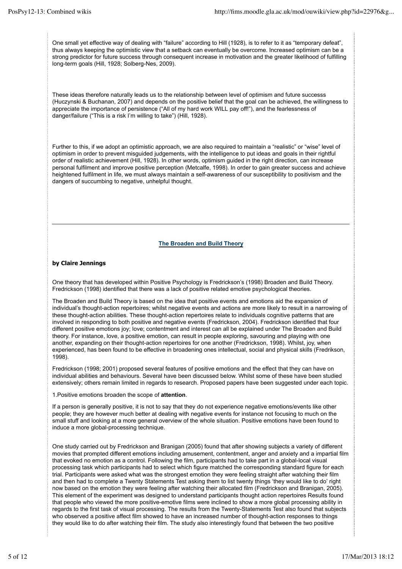One small yet effective way of dealing with "failure" according to Hill (1928), is to refer to it as "temporary defeat", thus always keeping the optimistic view that a setback can eventually be overcome. Increased optimism can be a strong predictor for future success through consequent increase in motivation and the greater likelihood of fulfilling long-term goals (Hill, 1928; Solberg-Nes, 2009).

These ideas therefore naturally leads us to the relationship between level of optimism and future successs (Huczynski & Buchanan, 2007) and depends on the positive belief that the goal can be achieved, the willingness to appreciate the importance of persistence ("All of my hard work WILL pay off!"), and the fearlessness of danger/failure ("This is a risk I'm willing to take") (Hill, 1928).

Further to this, if we adopt an optimistic approach, we are also required to maintain a "realistic" or "wise" level of optimism in order to prevent misguided judgements, with the intelligence to put ideas and goals in their rightful order of realistic achievement (Hill, 1928). In other words, optimism guided in the right direction, can increase personal fulfilment and improve positive perception (Metcalfe, 1998). In order to gain greater success and achieve heightened fulfilment in life, we must always maintain a self-awareness of our susceptibility to positivism and the dangers of succumbing to negative, unhelpful thought.

## **The Broaden and Build Theory**

## **by Claire Jennings**

One theory that has developed within Positive Psychology is Fredrickson's (1998) Broaden and Build Theory. Fredrickson (1998) identified that there was a lack of positive related emotive psychological theories.

The Broaden and Build Theory is based on the idea that positive events and emotions aid the expansion of individual's thought-action repertoires; whilst negative events and actions are more likely to result in a narrowing of these thought-action abilities. These thought-action repertoires relate to individuals cognitive patterns that are involved in responding to both positive and negative events (Fredrickson, 2004). Fredrickson identified that four different positive emotions joy; love; contentment and interest can all be explained under The Broaden and Build theory. For instance, love, a positive emotion, can result in people exploring, savouring and playing with one another, expanding on their thought-action repertoires for one another (Fredrickson, 1998). Whilst, joy, when experienced, has been found to be effective in broadening ones intellectual, social and physical skills (Fredrikson, 1998).

Fredrickson (1998; 2001) proposed several features of positive emotions and the effect that they can have on individual abilities and behaviours. Several have been discussed below. Whilst some of these have been studied extensively; others remain limited in regards to research. Proposed papers have been suggested under each topic.

1.Positive emotions broaden the scope of **attention**.

If a person is generally positive, it is not to say that they do not experience negative emotions/events like other people; they are however much better at dealing with negative events for instance not focusing to much on the small stuff and looking at a more general overview of the whole situation. Positive emotions have been found to induce a more global-processing technique.

One study carried out by Fredrickson and Branigan (2005) found that after showing subjects a variety of different movies that prompted different emotions including amusement, contentment, anger and anxiety and a impartial film that evoked no emotion as a control. Following the film, participants had to take part in a global-local visual processing task which participants had to select which figure matched the corresponding standard figure for each trial. Participants were asked what was the strongest emotion they were feeling straight after watching their film and then had to complete a Twenty Statements Test asking them to list twenty things 'they would like to do' right now based on the emotion they were feeling after watching their allocated film (Fredrickson and Branigan, 2005). This element of the experiment was designed to understand participants thought action repertoires Results found that people who viewed the more positive-emotive films were inclined to show a more global processing ability in regards to the first task of visual processing. The results from the Twenty-Statements Test also found that subjects who observed a positive affect film showed to have an increased number of thought-action responses to things they would like to do after watching their film. The study also interestingly found that between the two positive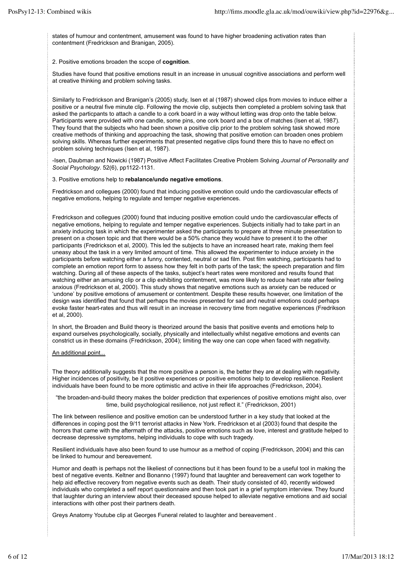states of humour and contentment, amusement was found to have higher broadening activation rates than contentment (Fredrickson and Branigan, 2005).

#### 2. Positive emotions broaden the scope of **cognition**.

Studies have found that positive emotions result in an increase in unusual cognitive associations and perform well at creative thinking and problem solving tasks.

Similarly to Fredrickson and Branigan's (2005) study, Isen et al (1987) showed clips from movies to induce either a positive or a neutral five minute clip. Following the movie clip, subjects then completed a problem solving task that asked the particpants to attach a candle to a cork board in a way without letting was drop onto the table below. Participants were provided with one candle, some pins, one cork board and a box of matches (Isen et al, 1987). They found that the subjects who had been shown a positive clip prior to the problem solving task showed more creative methods of thinking and approaching the task, showing that positive emotion can broaden ones problem solving skills. Whereas further experiments that presented negative clips found there this to have no effect on problem solving techniques (Isen et al, 1987).

-Isen, Daubman and Nowicki (1987) Positive Affect Facilitates Creative Problem Solving *Journal of Personality and Social Psychology*. 52(6), pp1122-1131.

#### 3. Positive emotions help to **rebalance/undo negative emotions**.

Fredrickson and collegues (2000) found that inducing positive emotion could undo the cardiovascular effects of negative emotions, helping to regulate and temper negative experiences.

Fredrickson and collegues (2000) found that inducing positive emotion could undo the cardiovascular effects of negative emotions, helping to regulate and temper negative experiences. Subjects initially had to take part in an anxiety inducing task in which the experimenter asked the participants to prepare at three minute presentation to present on a chosen topic and that there would be a 50% chance they would have to present it to the other participants (Fredrickson et al, 2000). This led the subjects to have an increased heart rate, making them feel uneasy about the task in a very limited amount of time. This allowed the experimenter to induce anxiety in the participants before watching either a funny, contented, neutral or sad film. Post film watching, participants had to complete an emotion report form to assess how they felt in both parts of the task; the speech preparation and film watching. During all of these aspects of the tasks, subject's heart rates were monitored and results found that watching either an amusing clip or a clip exhibiting contentment, was more likely to reduce heart rate after feeling anxious (Fredrickson et al, 2000). This study shows that negative emotions such as anxiety can be reduced or 'undone' by positive emotions of amusement or contentment. Despite these results however, one limitation of the design was identified that found that perhaps the movies presented for sad and neutral emotions could perhaps evoke faster heart-rates and thus will result in an increase in recovery time from negative experiences (Fredrikson et al, 2000).

In short, the Broaden and Build theory is theorized around the basis that positive events and emotions help to expand ourselves psychologically, socially, physically and intellectually whilst negative emotions and events can constrict us in these domains (Fredrickson, 2004); limiting the way one can cope when faced with negativity.

#### An additional point...

The theory additionally suggests that the more positive a person is, the better they are at dealing with negativity. Higher incidences of positivity, be it positive experiences or positive emotions help to develop resilience. Reslient individuals have been found to be more optimistic and active in their life approaches (Fredrickson, 2004).

"the broaden-and-build theory makes the bolder prediction that experiences of positive emotions might also, over time, build psychological resilience, not just reflect it." (Fredrickson, 2001)

The link between resilience and positive emotion can be understood further in a key study that looked at the differences in coping post the 9/11 terrorist attacks in New York. Fredrickson et al (2003) found that despite the horrors that came with the aftermath of the attacks, positive emotions such as love, interest and gratitude helped to decrease depressive symptoms, helping individuals to cope with such tragedy.

Resilient individuals have also been found to use humour as a method of coping (Fredrickson, 2004) and this can be linked to humour and bereavement.

Humor and death is perhaps not the likeliest of connections but it has been found to be a useful tool in making the best of negative events. Keltner and Bonanno (1997) found that laughter and bereavement can work together to help aid effective recovery from negative events such as death. Their study consisted of 40, recently widowed individuals who completed a self report questionnaire and then took part in a grief symptom interview. They found that laughter during an interview about their deceased spouse helped to alleviate negative emotions and aid social interactions with other post their partners death.

Greys Anatomy Youtube clip at Georges Funeral related to laughter and bereavement .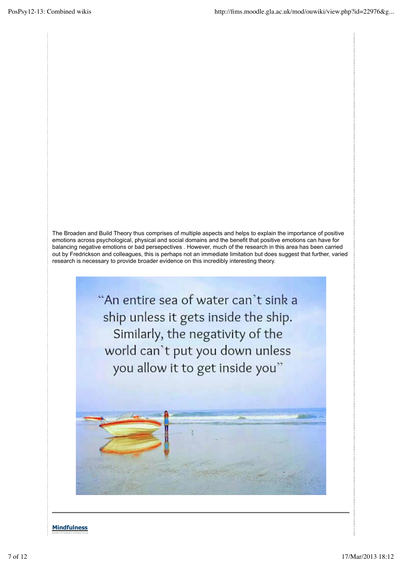The Broaden and Build Theory thus comprises of multiple aspects and helps to explain the importance of positive emotions across psychological, physical and social domains and the benefit that positive emotions can have for balancing negative emotions or bad persepectives . However, much of the research in this area has been carried out by Fredrickson and colleagues, this is perhaps not an immediate limitation but does suggest that further, varied research is necessary to provide broader evidence on this incredibly interesting theory.

> "An entire sea of water can't sink a ship unless it gets inside the ship. Similarly, the negativity of the world can't put you down unless you allow it to get inside you"

# **Mindfulness**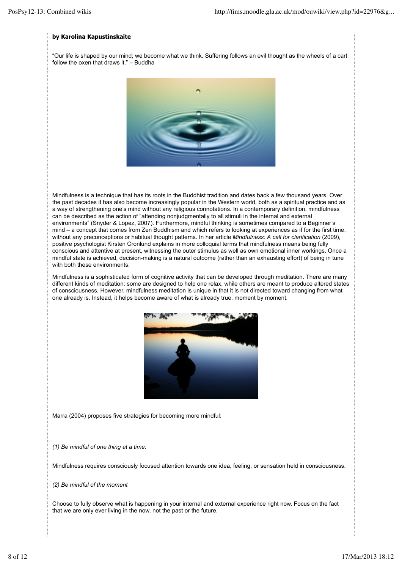### **by Karolina Kapustinskaite**

"Our life is shaped by our mind; we become what we think. Suffering follows an evil thought as the wheels of a cart follow the oxen that draws it." – Buddha



Mindfulness is a technique that has its roots in the Buddhist tradition and dates back a few thousand years. Over the past decades it has also become increasingly popular in the Western world, both as a spiritual practice and as a way of strengthening one's mind without any religious connotations. In a contemporary definition, mindfulness can be described as the action of "attending nonjudgmentally to all stimuli in the internal and external environments" (Snyder & Lopez, 2007). Furthermore, mindful thinking is sometimes compared to a Beginner's mind – a concept that comes from Zen Buddhism and which refers to looking at experiences as if for the first time, without any preconceptions or habitual thought patterns. In her article *Mindfulness: A call for clarification* (2009), positive psychologist Kirsten Cronlund explains in more colloquial terms that mindfulness means being fully conscious and attentive at present, witnessing the outer stimulus as well as own emotional inner workings. Once a mindful state is achieved, decision-making is a natural outcome (rather than an exhausting effort) of being in tune with both these environments.

Mindfulness is a sophisticated form of cognitive activity that can be developed through meditation. There are many different kinds of meditation: some are designed to help one relax, while others are meant to produce altered states of consciousness. However, mindfulness meditation is unique in that it is not directed toward changing from what one already is. Instead, it helps become aware of what is already true, moment by moment.



Marra (2004) proposes five strategies for becoming more mindful:

*(1) Be mindful of one thing at a time:*

Mindfulness requires consciously focused attention towards one idea, feeling, or sensation held in consciousness.

*(2) Be mindful of the moment*

Choose to fully observe what is happening in your internal and external experience right now. Focus on the fact that we are only ever living in the now, not the past or the future.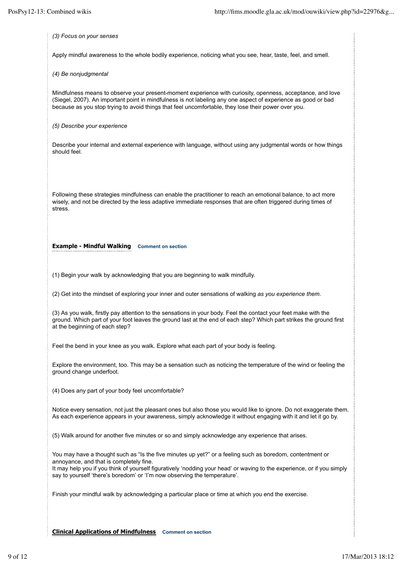*(3) Focus on your senses* Apply mindful awareness to the whole bodily experience, noticing what you see, hear, taste, feel, and smell. *(4) Be nonjudgmental* Mindfulness means to observe your present-moment experience with curiosity, openness, acceptance, and love (Siegel, 2007). An important point in mindfulness is not labeling any one aspect of experience as good or bad because as you stop trying to avoid things that feel uncomfortable, they lose their power over you. *(5) Describe your experience* Describe your internal and external experience with language, without using any judgmental words or how things should feel. Following these strategies mindfulness can enable the practitioner to reach an emotional balance, to act more wisely, and not be directed by the less adaptive immediate responses that are often triggered during times of stress. **Example - Mindful Walking Comment on section** (1) Begin your walk by acknowledging that you are beginning to walk mindfully. (2) Get into the mindset of exploring your inner and outer sensations of walking *as you experience them*. (3) As you walk, firstly pay attention to the sensations in your body. Feel the contact your feet make with the ground. Which part of your foot leaves the ground last at the end of each step? Which part strikes the ground first at the beginning of each step? Feel the bend in your knee as you walk. Explore what each part of your body is feeling. Explore the environment, too. This may be a sensation such as noticing the temperature of the wind or feeling the ground change underfoot. (4) Does any part of your body feel uncomfortable? Notice every sensation, not just the pleasant ones but also those you would like to ignore. Do not exaggerate them. As each experience appears in your awareness, simply acknowledge it without engaging with it and let it go by. (5) Walk around for another five minutes or so and simply acknowledge any experience that arises. You may have a thought such as "Is the five minutes up yet?" or a feeling such as boredom, contentment or annoyance, and that is completely fine. It may help you if you think of yourself figuratively 'nodding your head' or waving to the experience, or if you simply say to yourself 'there's boredom' or 'I'm now observing the temperature'. Finish your mindful walk by acknowledging a particular place or time at which you end the exercise.

**Clinical Applications of Mindfulness Comment on section**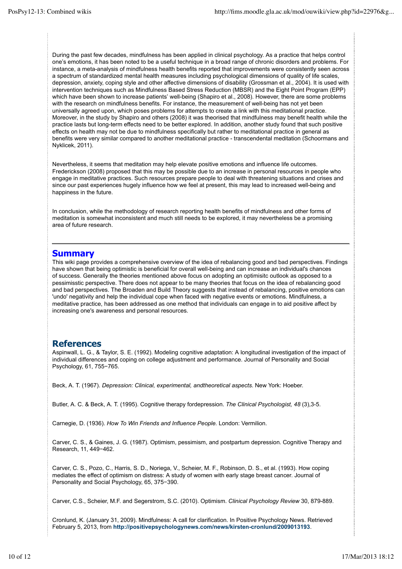During the past few decades, mindfulness has been applied in clinical psychology. As a practice that helps control one's emotions, it has been noted to be a useful technique in a broad range of chronic disorders and problems. For instance, a meta-analysis of mindfulness health benefits reported that improvements were consistently seen across a spectrum of standardized mental health measures including psychological dimensions of quality of life scales, depression, anxiety, coping style and other affective dimensions of disability (Grossman et al., 2004). It is used with intervention techniques such as Mindfulness Based Stress Reduction (MBSR) and the Eight Point Program (EPP) which have been shown to increase patients' well-being (Shapiro et al., 2008). However, there are some problems with the research on mindfulness benefits. For instance, the measurement of well-being has not yet been universally agreed upon, which poses problems for attempts to create a link with this meditational practice. Moreover, in the study by Shapiro and others (2008) it was theorised that mindfulness may benefit health while the practice lasts but long-term effects need to be better explored. In addition, another study found that such positive effects on health may not be due to mindfulness specifically but rather to meditational practice in general as benefits were very similar compared to another meditational practice - transcendental meditation (Schoormans and Nyklicek, 2011).

Nevertheless, it seems that meditation may help elevate positive emotions and influence life outcomes. Frederickson (2008) proposed that this may be possible due to an increase in personal resources in people who engage in meditative practices. Such resources prepare people to deal with threatening situations and crises and since our past experiences hugely influence how we feel at present, this may lead to increased well-being and happiness in the future.

In conclusion, while the methodology of research reporting health benefits of mindfulness and other forms of meditation is somewhat inconsistent and much still needs to be explored, it may nevertheless be a promising area of future research.

# **Summary**

This wiki page provides a comprehensive overview of the idea of rebalancing good and bad perspectives. Findings have shown that being optimistic is beneficial for overall well-being and can increase an individual's chances of success. Generally the theories mentioned above focus on adopting an optimisitc outlook as opposed to a pessimisstic perspective. There does not appear to be many theories that focus on the idea of rebalancing good and bad perspectives. The Broaden and Build Theory suggests that instead of rebalancing, positive emotions can 'undo' negativity and help the individual cope when faced with negative events or emotions. Mindfulness, a meditative practice, has been addressed as one method that individuals can engage in to aid positive affect by increasing one's awareness and personal resources.

# **References**

Aspinwall, L. G., & Taylor, S. E. (1992). Modeling cognitive adaptation: A longitudinal investigation of the impact of individual differences and coping on college adjustment and performance. Journal of Personality and Social Psychology, 61, 755−765.

Beck, A. T. (1967). *Depression: Clinical, experimental, andtheoretical aspects*. New York: Hoeber.

Butler, A. C. & Beck, A. T. (1995). Cognitive therapy fordepression. *The Clinical Psychologist, 48* (3),3-5.

Carnegie, D. (1936). *How To Win Friends and Influence People.* London: Vermilion.

Carver, C. S., & Gaines, J. G. (1987). Optimism, pessimism, and postpartum depression. Cognitive Therapy and Research, 11, 449−462.

Carver, C. S., Pozo, C., Harris, S. D., Noriega, V., Scheier, M. F., Robinson, D. S., et al. (1993). How coping mediates the effect of optimism on distress: A study of women with early stage breast cancer. Journal of Personality and Social Psychology, 65, 375−390.

Carver, C.S., Scheier, M.F. and Segerstrom, S.C. (2010). Optimism. *Clinical Psychology Review* 30, 879-889.

Cronlund, K. (January 31, 2009). Mindfulness: A call for clarification. In Positive Psychology News. Retrieved February 5, 2013, from **http://positivepsychologynews.com/news/kirsten-cronlund/2009013193**.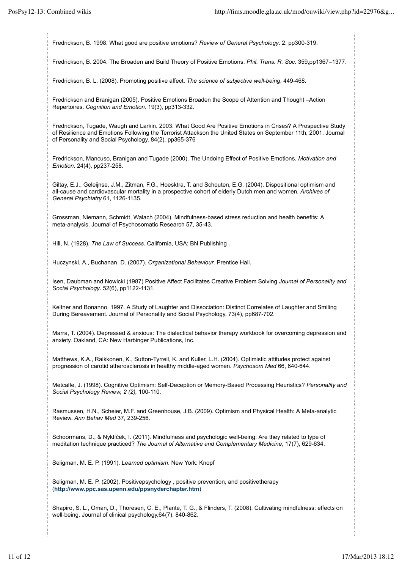Fredrickson, B. 1998. What good are positive emotions? *Review of General Psychology*. 2. pp300-319.

Fredrickson, B. 2004. The Broaden and Build Theory of Positive Emotions. *Phil. Trans. R. Soc.* 359,pp1367–1377.

Fredrickson, B. L. (2008). Promoting positive affect. *The science of subjective well-being*, 449-468.

Fredrickson and Branigan (2005). Positive Emotions Broaden the Scope of Attention and Thought –Action Repertoires. *Cognition and Emotion*. 19(3), pp313-332.

Fredrickson, Tugade, Waugh and Larkin. 2003. What Good Are Positive Emotions in Crises? A Prospective Study of Resilience and Emotions Following the Terrorist Attackson the United States on September 11th, 2001. Journal of Personality and Social Psychology. 84(2), pp365-376

Fredrickson, Mancuso, Branigan and Tugade (2000). The Undoing Effect of Positive Emotions. *Motivation and Emotion*. 24(4), pp237-258.

Giltay, E.J., Geleijnse, J.M., Zitman, F.G., Hoesktra, T. and Schouten, E.G. (2004). Dispositional optimism and all-cause and cardiovascular mortality in a prospective cohort of elderly Dutch men and women. *Archives of General Psychiatry* 61, 1126-1135.

Grossman, Niemann, Schmidt, Walach (2004). Mindfulness-based stress reduction and health benefits: A meta-analysis. Journal of Psychosomatic Research 57, 35-43.

Hill, N. (1928). *The Law of Success.* California, USA: BN Publishing .

Huczynski, A., Buchanan, D. (2007). *Organizational Behaviour*. Prentice Hall.

Isen, Daubman and Nowicki (1987) Positive Affect Facilitates Creative Problem Solving *Journal of Personality and Social Psychology*. 52(6), pp1122-1131.

Keltner and Bonanno. 1997. A Study of Laughter and Dissociation: Distinct Correlates of Laughter and Smiling During Bereavement. Journal of Personality and Social Psychology. 73(4), pp687-702.

Marra, T. (2004). Depressed & anxious: The dialectical behavior therapy workbook for overcoming depression and anxiety. Oakland, CA: New Harbinger Publications, Inc.

Matthews, K.A., Raikkonen, K., Sutton-Tyrrell, K. and Kuller, L.H. (2004). Optimistic attitudes protect against progression of carotid atherosclerosis in healthy middle-aged women. *Psychosom Med* 66, 640-644.

Metcalfe, J. (1998). Cognitive Optimism: Self-Deception or Memory-Based Processing Heuristics? *Personality and Social Psychology Review, 2 (2),* 100-110.

Rasmussen, H.N., Scheier, M.F. and Greenhouse, J.B. (2009). Optimism and Physical Health: A Meta-analytic Review. *Ann Behav Med* 37, 239-256.

Schoormans, D., & Nyklíček, I. (2011). Mindfulness and psychologic well-being: Are they related to type of meditation technique practiced? *The Journal of Alternative and Complementary Medicine*, 17(7), 629-634.

Seligman, M. E. P. (1991). *Learned optimism*. New York: Knopf

Seligman, M. E. P. (2002). Positivepsychology , positive prevention, and positivetherapy (**http://www.ppc.sas.upenn.edu/ppsnyderchapter.htm**)

Shapiro, S. L., Oman, D., Thoresen, C. E., Plante, T. G., & Flinders, T. (2008). Cultivating mindfulness: effects on well-being. Journal of clinical psychology, 64(7), 840-862.